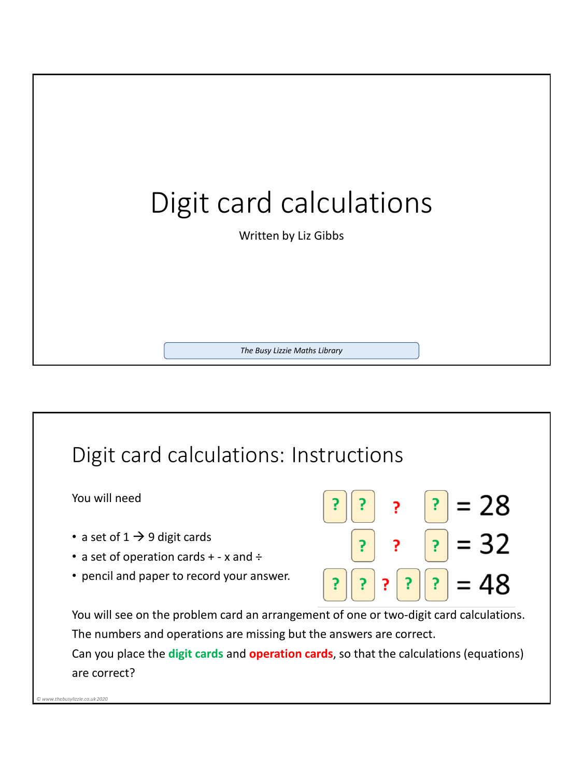

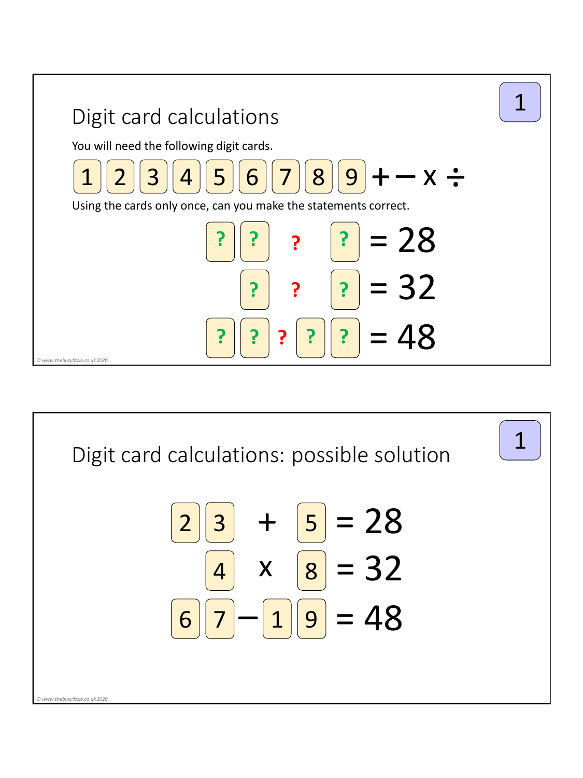

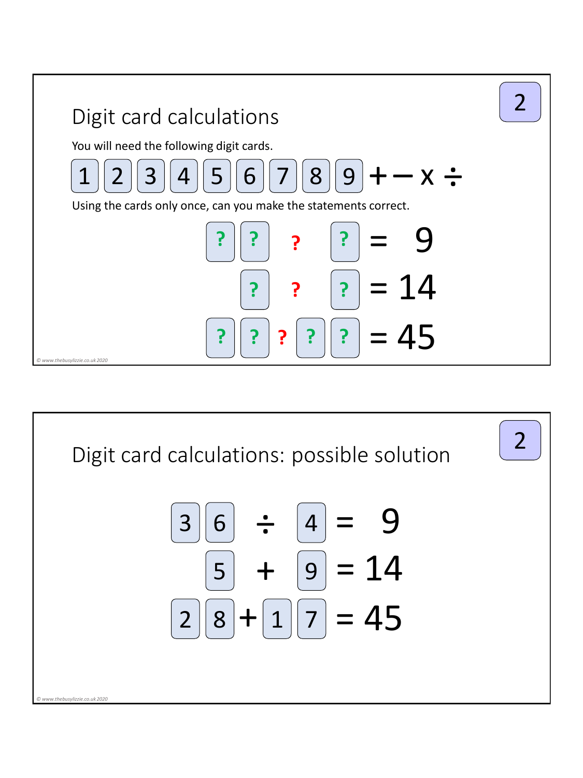